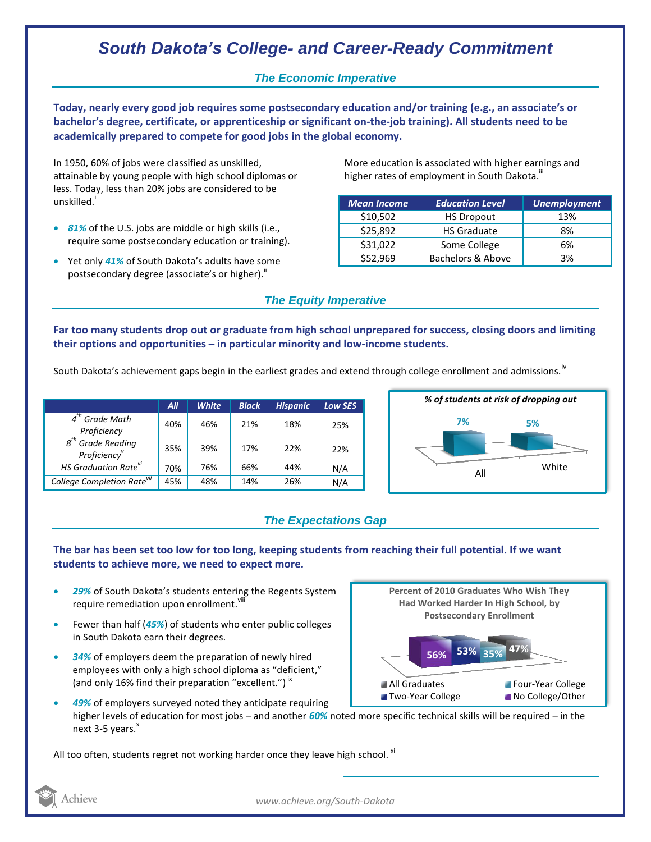# *South Dakota's College- and Career-Ready Commitment*

## *The Economic Imperative*

**Today, nearly every good job requires some postsecondary education and/or training (e.g., an associate's or bachelor's degree, certificate, or apprenticeship or significant on-the-job training). All students need to be academically prepared to compete for good jobs in the global economy.**

In 1950, 60% of jobs were classified as unskilled, attainable by young people with high school diplomas or less. Today, less than 20% jobs are considered to be unskilled.<sup>1</sup>

- *81%* of the U.S. jobs are middle or high skills (i.e., require some postsecondary education or training).
- Yet only *41%* of South Dakota's adults have some postsecondary degree (associate's or higher)."

More education is associated with higher earnings and higher rates of employment in South Dakota.<sup>III</sup>

| <b>Mean Income</b> | <b>Education Level</b> | <b>Unemployment</b> |
|--------------------|------------------------|---------------------|
| \$10,502           | <b>HS Dropout</b>      | 13%                 |
| \$25,892           | <b>HS Graduate</b>     | 8%                  |
| \$31,022           | Some College           | 6%                  |
| \$52,969           | Bachelors & Above      | 3%                  |

## *The Equity Imperative*

**Far too many students drop out or graduate from high school unprepared for success, closing doors and limiting their options and opportunities – in particular minority and low-income students.** 

South Dakota's achievement gaps begin in the earliest grades and extend through college enrollment and admissions.<sup>iv</sup>

|                                                                    | All | <b>White</b> | <b>Black</b> | <b>Hispanic</b> | <b>Low SES</b> |
|--------------------------------------------------------------------|-----|--------------|--------------|-----------------|----------------|
| $4th$ Grade Math<br>Proficiency                                    | 40% | 46%          | 21%          | 18%             | 25%            |
| $g^{th}$<br><sup>1</sup> Grade Reading<br>Proficiency <sup>v</sup> | 35% | 39%          | 17%          | 22%             | 22%            |
| HS Graduation Rate <sup>vi</sup>                                   | 70% | 76%          | 66%          | 44%             | N/A            |
| College Completion Rate <sup>vii</sup>                             | 45% | 48%          | 14%          | 26%             | N/A            |



## *The Expectations Gap*

#### **The bar has been set too low for too long, keeping students from reaching their full potential. If we want students to achieve more, we need to expect more.**

- *29%* of South Dakota's students entering the Regents System require remediation upon enrollment. Vill
- Fewer than half (*45%*) of students who enter public colleges in South Dakota earn their degrees.
- *34%* of employers deem the preparation of newly hired employees with only a high school diploma as "deficient," (and only 16% find their preparation "excellent.")<sup>ix</sup>
- **47% 56% 53% 35% Percent of 2010 Graduates Who Wish They Had Worked Harder In High School, by Postsecondary Enrollment** All Graduates **Four-Year College Two-Year College No College/Other**
- *49%* of employers surveyed noted they anticipate requiring higher levels of education for most jobs – and another *60%* noted more specific technical skills will be required – in the next  $3-5$  years. $^*$

All too often, students regret not working harder once they leave high school. <sup>xi</sup>



*www.achieve.org/South-Dakota*